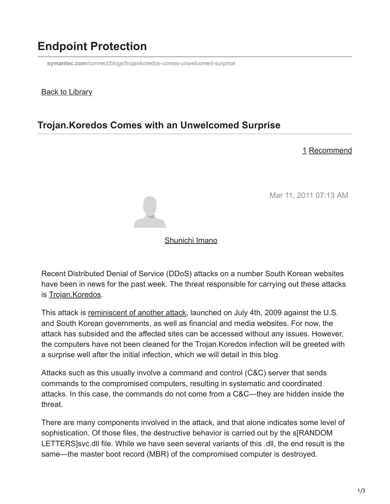# **Endpoint Protection**

**symantec.com**[/connect/blogs/trojankoredos-comes-unwelcomed-surprise](https://www.symantec.com/connect/blogs/trojankoredos-comes-unwelcomed-surprise)

### **Back to Library**

### **Trojan.Koredos Comes with an Unwelcomed Surprise**

#### 1 Recommend

Mar 11, 2011 07:13 AM



#### [Shunichi Imano](https://community.broadcom.com/symantecenterprise/network/members/profile?UserKey=1847dbd5-662f-4bef-a59b-d3a3d923a515)

Recent Distributed Denial of Service (DDoS) attacks on a number South Korean websites have been in news for the past week. The threat responsible for carrying out these attacks is [Trojan.Koredos](http://www.symantec.com/security_response/writeup.jsp?docid=2011-030417-4602-99).

This attack is [reminiscent of another attack](https://community.broadcom.com/symantecenterprise/viewdocument?DocumentKey=d5fc6afb-02e8-423f-8feb-f77c68ec7c8a&CommunityKey=1ecf5f55-9545-44d6-b0f4-4e4a7f5f5e68&tab=librarydocuments), launched on July 4th, 2009 against the U.S. and South Korean governments, as well as financial and media websites. For now, the attack has subsided and the affected sites can be accessed without any issues. However, the computers have not been cleaned for the Trojan.Koredos infection will be greeted with a surprise well after the initial infection, which we will detail in this blog.

Attacks such as this usually involve a command and control (C&C) server that sends commands to the compromised computers, resulting in systematic and coordinated attacks. In this case, the commands do not come from a C&C—they are hidden inside the threat.

There are many components involved in the attack, and that alone indicates some level of sophistication. Of those files, the destructive behavior is carried out by the s[RANDOM LETTERS]svc.dll file. While we have seen several variants of this .dll, the end result is the same—the master boot record (MBR) of the compromised computer is destroyed.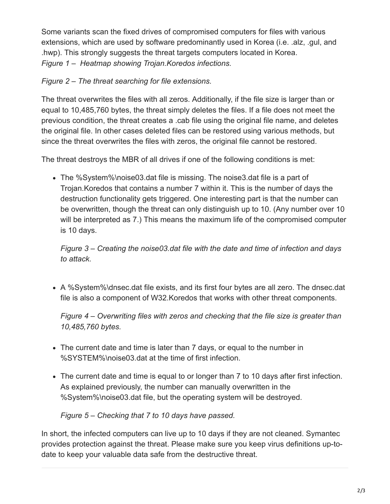Some variants scan the fixed drives of compromised computers for files with various extensions, which are used by software predominantly used in Korea (i.e. .alz, .gul, and .hwp). This strongly suggests the threat targets computers located in Korea. *Figure 1 – Heatmap showing Trojan.Koredos infections.*

### *Figure 2 – The threat searching for file extensions.*

The threat overwrites the files with all zeros. Additionally, if the file size is larger than or equal to 10,485,760 bytes, the threat simply deletes the files. If a file does not meet the previous condition, the threat creates a .cab file using the original file name, and deletes the original file. In other cases deleted files can be restored using various methods, but since the threat overwrites the files with zeros, the original file cannot be restored.

The threat destroys the MBR of all drives if one of the following conditions is met:

The %System%\noise03.dat file is missing. The noise3.dat file is a part of Trojan.Koredos that contains a number 7 within it. This is the number of days the destruction functionality gets triggered. One interesting part is that the number can be overwritten, though the threat can only distinguish up to 10. (Any number over 10 will be interpreted as 7.) This means the maximum life of the compromised computer is 10 days.

*Figure 3 – Creating the noise03.dat file with the date and time of infection and days to attack.*

A %System%\dnsec.dat file exists, and its first four bytes are all zero. The dnsec.dat file is also a component of W32.Koredos that works with other threat components.

*Figure 4 – Overwriting files with zeros and checking that the file size is greater than 10,485,760 bytes.*

- The current date and time is later than 7 days, or equal to the number in %SYSTEM%\noise03.dat at the time of first infection.
- The current date and time is equal to or longer than 7 to 10 days after first infection. As explained previously, the number can manually overwritten in the %System%\noise03.dat file, but the operating system will be destroyed.

*Figure 5 – Checking that 7 to 10 days have passed.*

In short, the infected computers can live up to 10 days if they are not cleaned. Symantec provides protection against the threat. Please make sure you keep virus definitions up-todate to keep your valuable data safe from the destructive threat.